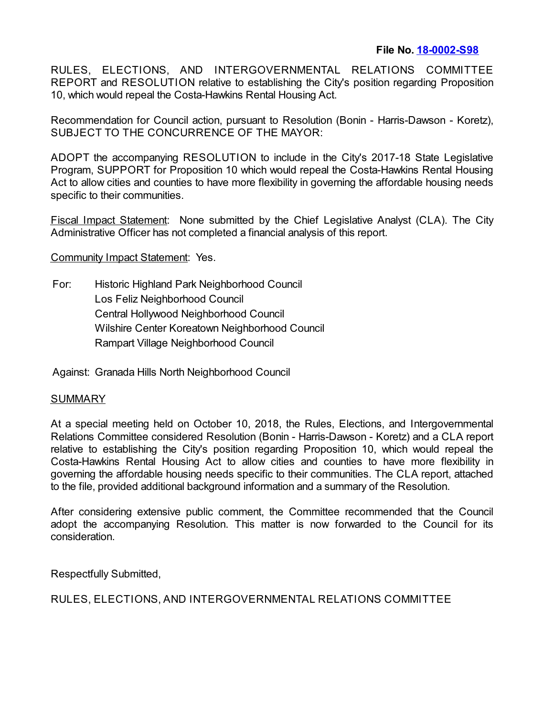RULES, ELECTIONS, AND INTERGOVERNMENTAL RELATIONS COMMITTEE REPORT and RESOLUTION relative to establishing the City's position regarding Proposition 10, which would repeal the Costa-Hawkins Rental Housing Act.

Recommendation for Council action, pursuant to Resolution (Bonin - Harris-Dawson - Koretz), SUBJECT TO THE CONCURRENCE OF THE MAYOR:

ADOPT the accompanying RESOLUTION to include in the City's 2017-18 State Legislative Program, SUPPORT for Proposition 10 which would repeal the Costa-Hawkins Rental Housing Act to allow cities and counties to have more flexibility in governing the affordable housing needs specific to their communities.

Fiscal Impact Statement: None submitted by the Chief Legislative Analyst (CLA). The City Administrative Officer has not completed a financial analysis of this report.

Community Impact Statement: Yes.

For: Historic Highland Park Neighborhood Council Los Feliz Neighborhood Council Central Hollywood Neighborhood Council Wilshire Center Koreatown Neighborhood Council Rampart Village Neighborhood Council

Against: Granada Hills North Neighborhood Council

## SUMMARY

At a special meeting held on October 10, 2018, the Rules, Elections, and Intergovernmental Relations Committee considered Resolution (Bonin - Harris-Dawson - Koretz) and a CLA report relative to establishing the City's position regarding Proposition 10, which would repeal the Costa-Hawkins Rental Housing Act to allow cities and counties to have more flexibility in governing the affordable housing needs specific to their communities. The CLA report, attached to the file, provided additional background information and a summary of the Resolution.

After considering extensive public comment, the Committee recommended that the Council adopt the accompanying Resolution. This matter is now forwarded to the Council for its consideration.

Respectfully Submitted,

RULES, ELECTIONS, AND INTERGOVERNMENTAL RELATIONS COMMITTEE